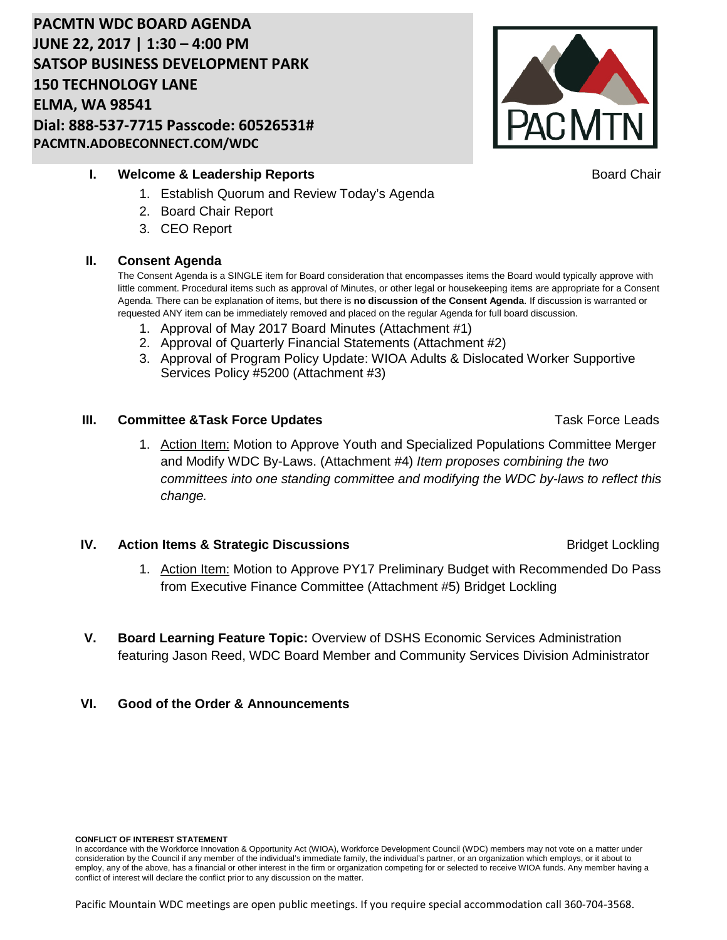# **PACMTN WDC BOARD AGENDA JUNE 22, 2017 | 1:30 – 4:00 PM SATSOP BUSINESS DEVELOPMENT PARK 150 TECHNOLOGY LANE ELMA, WA 98541 Dial: 888-537-7715 Passcode: 60526531# PACMTN.ADOBECONNECT.COM/WDC**



## **I. Welcome & Leadership Reports Board Chair Board Chair Board Chair**

- 1. Establish Quorum and Review Today's Agenda
- 2. Board Chair Report
- 3. CEO Report

## **II. Consent Agenda**

The Consent Agenda is a SINGLE item for Board consideration that encompasses items the Board would typically approve with little comment. Procedural items such as approval of Minutes, or other legal or housekeeping items are appropriate for a Consent Agenda. There can be explanation of items, but there is **no discussion of the Consent Agenda**. If discussion is warranted or requested ANY item can be immediately removed and placed on the regular Agenda for full board discussion.

- 1. Approval of May 2017 Board Minutes (Attachment #1)
- 2. Approval of Quarterly Financial Statements (Attachment #2)
- 3. Approval of Program Policy Update: WIOA Adults & Dislocated Worker Supportive Services Policy #5200 (Attachment #3)

## **III. Committee &Task Force Updates <b>Task Force Leads Task Force Leads**

1. Action Item: Motion to Approve Youth and Specialized Populations Committee Merger and Modify WDC By-Laws. (Attachment #4) *Item proposes combining the two committees into one standing committee and modifying the WDC by-laws to reflect this change.*

## **IV. Action Items & Strategic Discussions Bridget Lockling Bridget Lockling**

- 1. Action Item: Motion to Approve PY17 Preliminary Budget with Recommended Do Pass from Executive Finance Committee (Attachment #5) Bridget Lockling
- **V. Board Learning Feature Topic:** Overview of DSHS Economic Services Administration featuring Jason Reed, WDC Board Member and Community Services Division Administrator
- **VI. Good of the Order & Announcements**

## **CONFLICT OF INTEREST STATEMENT**

In accordance with the Workforce Innovation & Opportunity Act (WIOA), Workforce Development Council (WDC) members may not vote on a matter under consideration by the Council if any member of the individual's immediate family, the individual's partner, or an organization which employs, or it about to employ, any of the above, has a financial or other interest in the firm or organization competing for or selected to receive WIOA funds. Any member having a conflict of interest will declare the conflict prior to any discussion on the matter.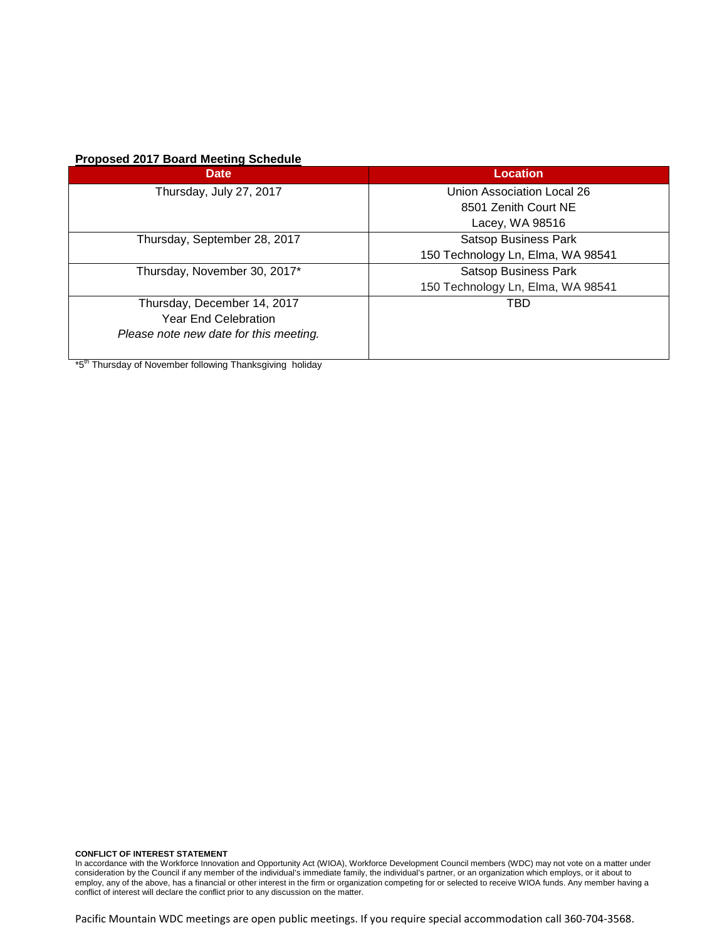## **Proposed 2017 Board Meeting Schedule**

| <b>Date</b>                            | <b>Location</b>                   |  |
|----------------------------------------|-----------------------------------|--|
| Thursday, July 27, 2017                | Union Association Local 26        |  |
|                                        | 8501 Zenith Court NE              |  |
|                                        | Lacey, WA 98516                   |  |
| Thursday, September 28, 2017           | <b>Satsop Business Park</b>       |  |
|                                        | 150 Technology Ln, Elma, WA 98541 |  |
| Thursday, November 30, 2017*           | <b>Satsop Business Park</b>       |  |
|                                        | 150 Technology Ln, Elma, WA 98541 |  |
| Thursday, December 14, 2017            | TBD                               |  |
| <b>Year End Celebration</b>            |                                   |  |
| Please note new date for this meeting. |                                   |  |

 $\frac{1}{100}$  \*5<sup>th</sup> Thursday of November following Thanksgiving holiday

**CONFLICT OF INTEREST STATEMENT** In accordance with the Workforce Innovation and Opportunity Act (WIOA), Workforce Development Council members (WDC) may not vote on a matter under consideration by the Council if any member of the individual's immediate family, the individual's partner, or an organization which employs, or it about to employ, any of the above, has a financial or other interest in the firm or organization competing for or selected to receive WIOA funds. Any member having a conflict of interest will declare the conflict prior to any discussion on the matter.

Pacific Mountain WDC meetings are open public meetings. If you require special accommodation call 360-704-3568.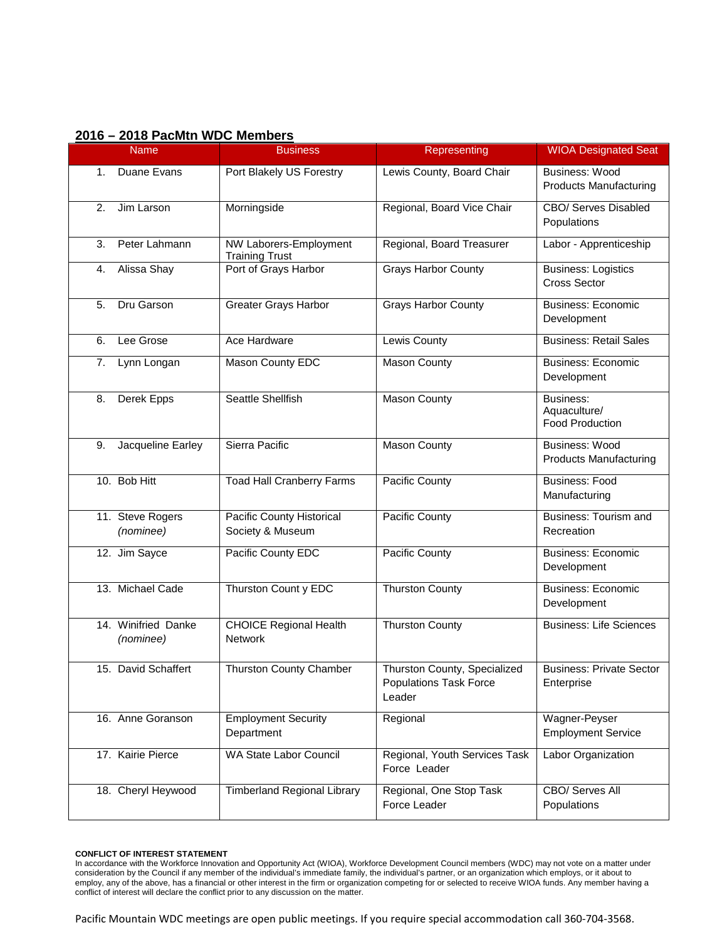| 2016 - 2018 PacMtn WDC Members |  |
|--------------------------------|--|
|--------------------------------|--|

| <b>Name</b>                      | <b>Business</b>                                 | Representing                                                            | <b>WIOA Designated Seat</b>                         |
|----------------------------------|-------------------------------------------------|-------------------------------------------------------------------------|-----------------------------------------------------|
| Duane Evans<br>1.                | Port Blakely US Forestry                        | Lewis County, Board Chair                                               | Business: Wood<br><b>Products Manufacturing</b>     |
| 2.<br>Jim Larson                 | Morningside                                     | Regional, Board Vice Chair                                              | CBO/ Serves Disabled<br>Populations                 |
| 3.<br>Peter Lahmann              | NW Laborers-Employment<br><b>Training Trust</b> | Regional, Board Treasurer                                               | Labor - Apprenticeship                              |
| Alissa Shay<br>4.                | Port of Grays Harbor                            | <b>Grays Harbor County</b>                                              | <b>Business: Logistics</b><br><b>Cross Sector</b>   |
| Dru Garson<br>5.                 | <b>Greater Grays Harbor</b>                     | <b>Grays Harbor County</b>                                              | <b>Business: Economic</b><br>Development            |
| Lee Grose<br>6.                  | Ace Hardware                                    | Lewis County                                                            | <b>Business: Retail Sales</b>                       |
| Lynn Longan<br>7.                | Mason County EDC                                | <b>Mason County</b>                                                     | <b>Business: Economic</b><br>Development            |
| Derek Epps<br>8.                 | Seattle Shellfish                               | Mason County                                                            | Business:<br>Aquaculture/<br><b>Food Production</b> |
| Jacqueline Earley<br>9.          | Sierra Pacific                                  | <b>Mason County</b>                                                     | Business: Wood<br><b>Products Manufacturing</b>     |
| 10. Bob Hitt                     | <b>Toad Hall Cranberry Farms</b>                | Pacific County                                                          | <b>Business: Food</b><br>Manufacturing              |
| 11. Steve Rogers<br>(nominee)    | Pacific County Historical<br>Society & Museum   | Pacific County                                                          | <b>Business: Tourism and</b><br>Recreation          |
| 12. Jim Sayce                    | Pacific County EDC                              | Pacific County                                                          | <b>Business: Economic</b><br>Development            |
| 13. Michael Cade                 | Thurston Count y EDC                            | <b>Thurston County</b>                                                  | <b>Business: Economic</b><br>Development            |
| 14. Winifried Danke<br>(nominee) | <b>CHOICE Regional Health</b><br><b>Network</b> | <b>Thurston County</b>                                                  | <b>Business: Life Sciences</b>                      |
| 15. David Schaffert              | Thurston County Chamber                         | Thurston County, Specialized<br><b>Populations Task Force</b><br>Leader | <b>Business: Private Sector</b><br>Enterprise       |
| 16. Anne Goranson                | <b>Employment Security</b><br>Department        | Regional                                                                | Wagner-Peyser<br><b>Employment Service</b>          |
| 17. Kairie Pierce                | WA State Labor Council                          | Regional, Youth Services Task<br>Force Leader                           | Labor Organization                                  |
| 18. Cheryl Heywood               | <b>Timberland Regional Library</b>              | Regional, One Stop Task<br>Force Leader                                 | <b>CBO/ Serves All</b><br>Populations               |

**CONFLICT OF INTEREST STATEMENT** In accordance with the Workforce Innovation and Opportunity Act (WIOA), Workforce Development Council members (WDC) may not vote on a matter under consideration by the Council if any member of the individual's immediate family, the individual's partner, or an organization which employs, or it about to employ, any of the above, has a financial or other interest in the firm or organization competing for or selected to receive WIOA funds. Any member having a conflict of interest will declare the conflict prior to any discussion on the matter.

Pacific Mountain WDC meetings are open public meetings. If you require special accommodation call 360-704-3568.